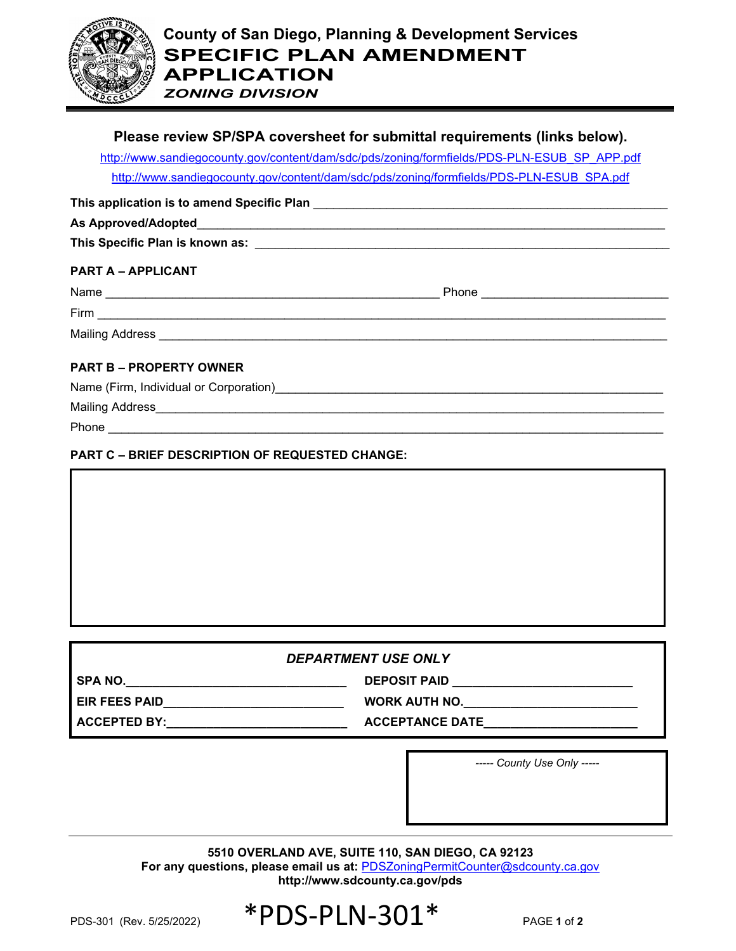

*ZONING DIVISION*

# **Please review SP/SPA coversheet for submittal requirements (links below).**

[http://www.sandiegocounty.gov/content/dam/sdc/pds/zoning/formfields/PDS-PLN-ESUB\\_SP\\_APP.pdf](http://www.sandiegocounty.gov/content/dam/sdc/pds/zoning/formfields/PDS-PLN-ESUB_SP_APP.pdf) [http://www.sandiegocounty.gov/content/dam/sdc/pds/zoning/formfields/PDS-PLN-ESUB\\_SPA.pdf](http://www.sandiegocounty.gov/content/dam/sdc/pds/zoning/formfields/PDS-PLN-ESUB_SPA.pdf)

**This application is to amend Specific Plan** \_\_\_\_\_\_\_\_\_\_\_\_\_\_\_\_\_\_\_\_\_\_\_\_\_\_\_\_\_\_\_\_\_\_\_\_\_\_\_\_\_\_\_\_\_\_\_\_\_\_\_\_\_

### **As Approved/Adopted**\_\_\_\_\_\_\_\_\_\_\_\_\_\_\_\_\_\_\_\_\_\_\_\_\_\_\_\_\_\_\_\_\_\_\_\_\_\_\_\_\_\_\_\_\_\_\_\_\_\_\_\_\_\_\_\_\_\_\_\_\_\_\_\_\_\_\_\_\_\_

**This Specific Plan is known as:** \_\_\_\_\_\_\_\_\_\_\_\_\_\_\_\_\_\_\_\_\_\_\_\_\_\_\_\_\_\_\_\_\_\_\_\_\_\_\_\_\_\_\_\_\_\_\_\_\_\_\_\_\_\_\_\_\_\_\_\_\_\_

# **PART A – APPLICANT**

| Name<br>,,,,,, | <u>ы.</u><br>$ -$<br>סו וטו |  |
|----------------|-----------------------------|--|
|                |                             |  |

Firm \_\_\_\_\_\_\_\_\_\_\_\_\_\_\_\_\_\_\_\_\_\_\_\_\_\_\_\_\_\_\_\_\_\_\_\_\_\_\_\_\_\_\_\_\_\_\_\_\_\_\_\_\_\_\_\_\_\_\_\_\_\_\_\_\_\_\_\_\_\_\_\_\_\_\_\_\_\_\_\_\_\_\_\_\_

Mailing Address \_\_\_\_\_\_\_\_\_\_\_\_\_\_\_\_\_\_\_\_\_\_\_\_\_\_\_\_\_\_\_\_\_\_\_\_\_\_\_\_\_\_\_\_\_\_\_\_\_\_\_\_\_\_\_\_\_\_\_\_\_\_\_\_\_\_\_\_\_\_\_\_\_\_\_\_

# **PART B – PROPERTY OWNER**

| Name (Firm, Individual or Corporation) |  |  |
|----------------------------------------|--|--|
|                                        |  |  |

Mailing Address\_\_\_\_\_\_\_\_\_\_\_\_\_\_\_\_\_\_\_\_\_\_\_\_\_\_\_\_\_\_\_\_\_\_\_\_\_\_\_\_\_\_\_\_\_\_\_\_\_\_\_\_\_\_\_\_\_\_\_\_\_\_\_\_\_\_\_\_\_\_\_\_\_\_\_\_

Phone \_\_\_\_\_\_\_\_\_\_\_\_\_\_\_\_\_\_\_\_\_\_\_\_\_\_\_\_\_\_\_\_\_\_\_\_\_\_\_\_\_\_\_\_\_\_\_\_\_\_\_\_\_\_\_\_\_\_\_\_\_\_\_\_\_\_\_\_\_\_\_\_\_\_\_\_\_\_\_\_\_\_\_

## **PART C – BRIEF DESCRIPTION OF REQUESTED CHANGE:**



# *DEPARTMENT USE ONLY*

**EIR FEES PAID\_\_\_\_\_\_\_\_\_\_\_\_\_\_\_\_\_\_\_\_\_\_\_\_\_\_\_ WORK AUTH NO.\_\_\_\_\_\_\_\_\_\_\_\_\_\_\_\_\_\_\_\_\_\_\_\_\_\_**

**SPA NO.\_\_\_\_\_\_\_\_\_\_\_\_\_\_\_\_\_\_\_\_\_\_\_\_\_\_\_\_\_\_\_\_\_ DEPOSIT PAID \_\_\_\_\_\_\_\_\_\_\_\_\_\_\_\_\_\_\_\_\_\_\_\_\_\_\_**

**ACCEPTED BY:\_\_\_\_\_\_\_\_\_\_\_\_\_\_\_\_\_\_\_\_\_\_\_\_\_\_\_ ACCEPTANCE DATE\_\_\_\_\_\_\_\_\_\_\_\_\_\_\_\_\_\_\_\_\_\_\_**

*----- County Use Only -----*

**5510 OVERLAND AVE, SUITE 110, SAN DIEGO, CA 92123** For any questions, please email us at: **[PDSZoningPermitCounter@sdcounty.ca.gov](mailto:PDSZoningPermitCounter@sdcounty.ca.gov) <http://www.sdcounty.ca.gov/pds>**

PDS-301 (Rev. 5/25/2022)  $*$  PDS-PLN-301<sup>\*</sup> PAGE 1 of 2